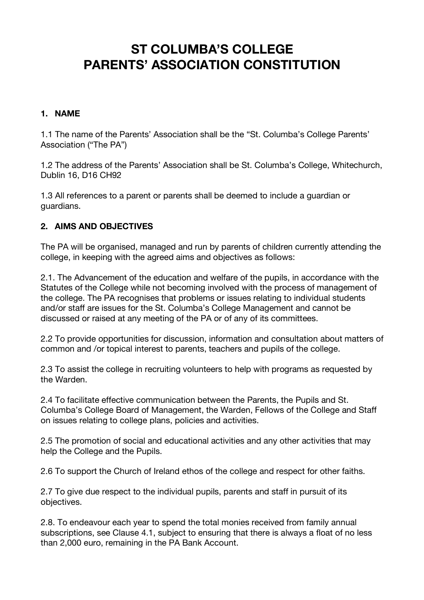# **ST COLUMBA'S COLLEGE PARENTS' ASSOCIATION CONSTITUTION**

#### **1. NAME**

1.1 The name of the Parents' Association shall be the "St. Columba's College Parents' Association ("The PA")

1.2 The address of the Parents' Association shall be St. Columba's College, Whitechurch, Dublin 16, D16 CH92

1.3 All references to a parent or parents shall be deemed to include a guardian or guardians.

#### **2. AIMS AND OBJECTIVES**

The PA will be organised, managed and run by parents of children currently attending the college, in keeping with the agreed aims and objectives as follows:

2.1. The Advancement of the education and welfare of the pupils, in accordance with the Statutes of the College while not becoming involved with the process of management of the college. The PA recognises that problems or issues relating to individual students and/or staff are issues for the St. Columba's College Management and cannot be discussed or raised at any meeting of the PA or of any of its committees.

2.2 To provide opportunities for discussion, information and consultation about matters of common and /or topical interest to parents, teachers and pupils of the college.

2.3 To assist the college in recruiting volunteers to help with programs as requested by the Warden.

2.4 To facilitate effective communication between the Parents, the Pupils and St. Columba's College Board of Management, the Warden, Fellows of the College and Staff on issues relating to college plans, policies and activities.

2.5 The promotion of social and educational activities and any other activities that may help the College and the Pupils.

2.6 To support the Church of Ireland ethos of the college and respect for other faiths.

2.7 To give due respect to the individual pupils, parents and staff in pursuit of its objectives.

2.8. To endeavour each year to spend the total monies received from family annual subscriptions, see Clause 4.1, subject to ensuring that there is always a float of no less than 2,000 euro, remaining in the PA Bank Account.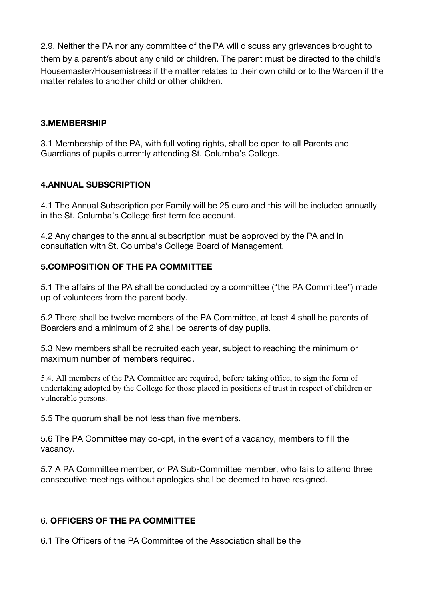2.9. Neither the PA nor any committee of the PA will discuss any grievances brought to them by a parent/s about any child or children. The parent must be directed to the child's Housemaster/Housemistress if the matter relates to their own child or to the Warden if the matter relates to another child or other children.

#### **3.MEMBERSHIP**

3.1 Membership of the PA, with full voting rights, shall be open to all Parents and Guardians of pupils currently attending St. Columba's College.

#### **4.ANNUAL SUBSCRIPTION**

4.1 The Annual Subscription per Family will be 25 euro and this will be included annually in the St. Columba's College first term fee account.

4.2 Any changes to the annual subscription must be approved by the PA and in consultation with St. Columba's College Board of Management.

#### **5.COMPOSITION OF THE PA COMMITTEE**

5.1 The affairs of the PA shall be conducted by a committee ("the PA Committee") made up of volunteers from the parent body.

5.2 There shall be twelve members of the PA Committee, at least 4 shall be parents of Boarders and a minimum of 2 shall be parents of day pupils.

5.3 New members shall be recruited each year, subject to reaching the minimum or maximum number of members required.

5.4. All members of the PA Committee are required, before taking office, to sign the form of undertaking adopted by the College for those placed in positions of trust in respect of children or vulnerable persons.

5.5 The quorum shall be not less than five members.

5.6 The PA Committee may co-opt, in the event of a vacancy, members to fill the vacancy.

5.7 A PA Committee member, or PA Sub-Committee member, who fails to attend three consecutive meetings without apologies shall be deemed to have resigned.

#### 6. **OFFICERS OF THE PA COMMITTEE**

6.1 The Officers of the PA Committee of the Association shall be the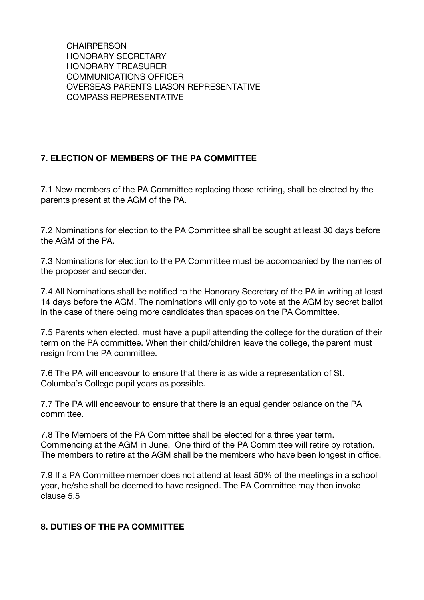**CHAIRPERSON** HONORARY SECRETARY HONORARY TREASURER COMMUNICATIONS OFFICER OVERSEAS PARENTS LIASON REPRESENTATIVE COMPASS REPRESENTATIVE

# **7. ELECTION OF MEMBERS OF THE PA COMMITTEE**

7.1 New members of the PA Committee replacing those retiring, shall be elected by the parents present at the AGM of the PA.

7.2 Nominations for election to the PA Committee shall be sought at least 30 days before the AGM of the PA.

7.3 Nominations for election to the PA Committee must be accompanied by the names of the proposer and seconder.

7.4 All Nominations shall be notified to the Honorary Secretary of the PA in writing at least 14 days before the AGM. The nominations will only go to vote at the AGM by secret ballot in the case of there being more candidates than spaces on the PA Committee.

7.5 Parents when elected, must have a pupil attending the college for the duration of their term on the PA committee. When their child/children leave the college, the parent must resign from the PA committee.

7.6 The PA will endeavour to ensure that there is as wide a representation of St. Columba's College pupil years as possible.

7.7 The PA will endeavour to ensure that there is an equal gender balance on the PA committee.

7.8 The Members of the PA Committee shall be elected for a three year term. Commencing at the AGM in June. One third of the PA Committee will retire by rotation. The members to retire at the AGM shall be the members who have been longest in office.

7.9 If a PA Committee member does not attend at least 50% of the meetings in a school year, he/she shall be deemed to have resigned. The PA Committee may then invoke clause 5.5

#### **8. DUTIES OF THE PA COMMITTEE**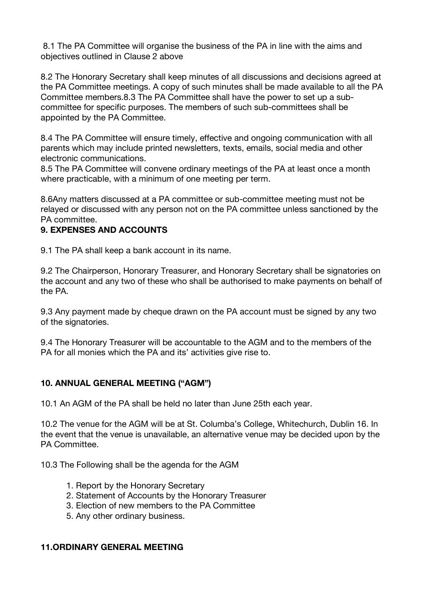8.1 The PA Committee will organise the business of the PA in line with the aims and objectives outlined in Clause 2 above

8.2 The Honorary Secretary shall keep minutes of all discussions and decisions agreed at the PA Committee meetings. A copy of such minutes shall be made available to all the PA Committee members.8.3 The PA Committee shall have the power to set up a subcommittee for specific purposes. The members of such sub-committees shall be appointed by the PA Committee.

8.4 The PA Committee will ensure timely, effective and ongoing communication with all parents which may include printed newsletters, texts, emails, social media and other electronic communications.

8.5 The PA Committee will convene ordinary meetings of the PA at least once a month where practicable, with a minimum of one meeting per term.

8.6Any matters discussed at a PA committee or sub-committee meeting must not be relayed or discussed with any person not on the PA committee unless sanctioned by the PA committee.

#### **9. EXPENSES AND ACCOUNTS**

9.1 The PA shall keep a bank account in its name.

9.2 The Chairperson, Honorary Treasurer, and Honorary Secretary shall be signatories on the account and any two of these who shall be authorised to make payments on behalf of the PA.

9.3 Any payment made by cheque drawn on the PA account must be signed by any two of the signatories.

9.4 The Honorary Treasurer will be accountable to the AGM and to the members of the PA for all monies which the PA and its' activities give rise to.

#### **10. ANNUAL GENERAL MEETING ("AGM")**

10.1 An AGM of the PA shall be held no later than June 25th each year.

10.2 The venue for the AGM will be at St. Columba's College, Whitechurch, Dublin 16. In the event that the venue is unavailable, an alternative venue may be decided upon by the PA Committee.

10.3 The Following shall be the agenda for the AGM

- 1. Report by the Honorary Secretary
- 2. Statement of Accounts by the Honorary Treasurer
- 3. Election of new members to the PA Committee
- 5. Any other ordinary business.

#### **11.ORDINARY GENERAL MEETING**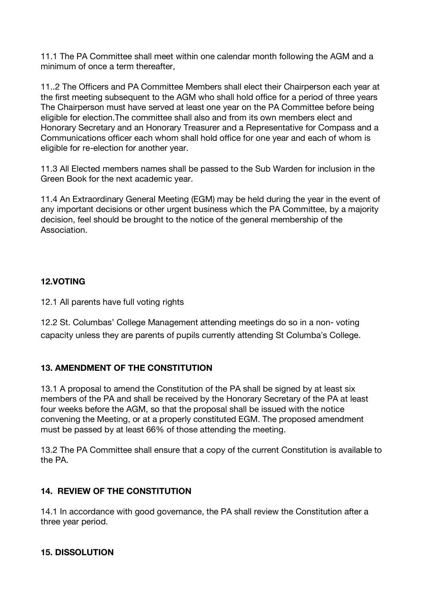11.1 The PA Committee shall meet within one calendar month following the AGM and a minimum of once a term thereafter,

11..2 The Officers and PA Committee Members shall elect their Chairperson each year at the first meeting subsequent to the AGM who shall hold office for a period of three years The Chairperson must have served at least one year on the PA Committee before being eligible for election.The committee shall also and from its own members elect and Honorary Secretary and an Honorary Treasurer and a Representative for Compass and a Communications officer each whom shall hold office for one year and each of whom is eligible for re-election for another year.

11.3 All Elected members names shall be passed to the Sub Warden for inclusion in the Green Book for the next academic year.

11.4 An Extraordinary General Meeting (EGM) may be held during the year in the event of any important decisions or other urgent business which the PA Committee, by a majority decision, feel should be brought to the notice of the general membership of the Association.

# **12.VOTING**

12.1 All parents have full voting rights

12.2 St. Columbas' College Management attending meetings do so in a non- voting capacity unless they are parents of pupils currently attending St Columba's College.

# **13. AMENDMENT OF THE CONSTITUTION**

13.1 A proposal to amend the Constitution of the PA shall be signed by at least six members of the PA and shall be received by the Honorary Secretary of the PA at least four weeks before the AGM, so that the proposal shall be issued with the notice convening the Meeting, or at a properly constituted EGM. The proposed amendment must be passed by at least 66% of those attending the meeting.

13.2 The PA Committee shall ensure that a copy of the current Constitution is available to the PA.

# **14. REVIEW OF THE CONSTITUTION**

14.1 In accordance with good governance, the PA shall review the Constitution after a three year period.

# **15. DISSOLUTION**